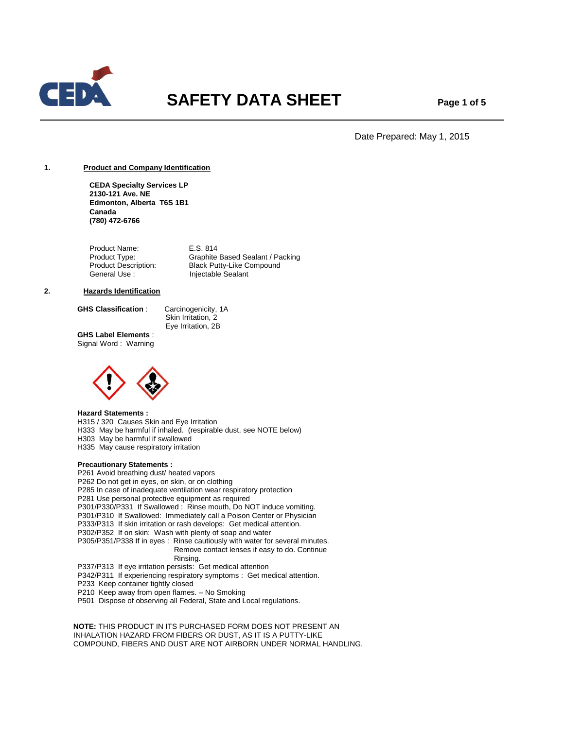

# **SAFETY DATA SHEET** Page 1 of 5

Date Prepared: May 1, 2015

## **1. Product and Company Identification**

**CEDA Specialty Services LP 2130-121 Ave. NE Edmonton, Alberta T6S 1B1 Canada (780) 472-6766**

Product Name: E.S. 814 Product Type: Graphite Based Sealant / Packing<br>
Product Description: Black Putty-Like Compound Black Putty-Like Compound General Use : Injectable Sealant

## **2. Hazards Identification**

**GHS Classification** : Carcinogenicity, 1A

Skin Irritation, 2 Eye Irritation, 2B

**GHS Label Elements** : Signal Word : Warning



## **Hazard Statements :**

H315 / 320 Causes Skin and Eye Irritation

H333 May be harmful if inhaled. (respirable dust, see NOTE below)

H303 May be harmful if swallowed

H335 May cause respiratory irritation

# **Precautionary Statements :**

P261 Avoid breathing dust/ heated vapors P262 Do not get in eyes, on skin, or on clothing P285 In case of inadequate ventilation wear respiratory protection P281 Use personal protective equipment as required P301/P330/P331 If Swallowed : Rinse mouth, Do NOT induce vomiting. P301/P310 If Swallowed: Immediately call a Poison Center or Physician P333/P313 If skin irritation or rash develops: Get medical attention. P302/P352 If on skin: Wash with plenty of soap and water P305/P351/P338 If in eyes : Rinse cautiously with water for several minutes. Remove contact lenses if easy to do. Continue Rinsing. P337/P313 If eye irritation persists: Get medical attention P342/P311 If experiencing respiratory symptoms : Get medical attention. P233 Keep container tightly closed P210 Keep away from open flames. – No Smoking

P501 Dispose of observing all Federal, State and Local regulations.

 **NOTE:** THIS PRODUCT IN ITS PURCHASED FORM DOES NOT PRESENT AN INHALATION HAZARD FROM FIBERS OR DUST, AS IT IS A PUTTY-LIKE COMPOUND, FIBERS AND DUST ARE NOT AIRBORN UNDER NORMAL HANDLING.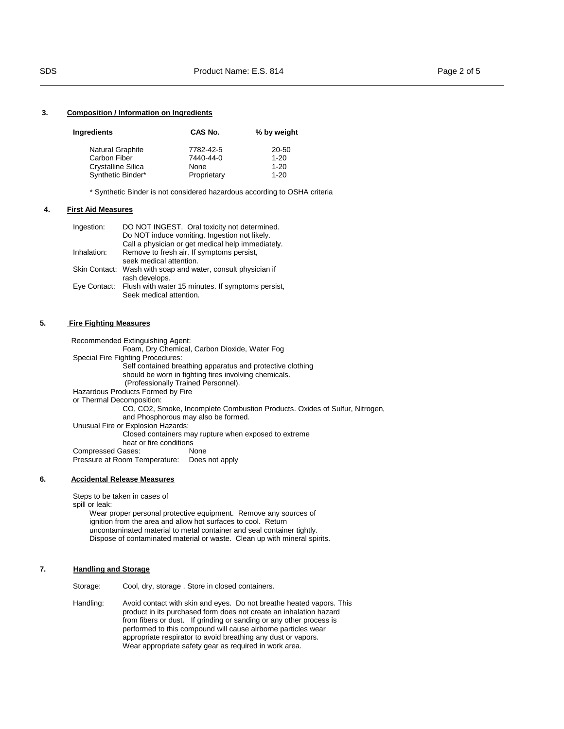# **3. Composition / Information on Ingredients**

| Ingredients             | CAS No.     | % by weight |  |
|-------------------------|-------------|-------------|--|
| <b>Natural Graphite</b> | 7782-42-5   | 20-50       |  |
| Carbon Fiber            | 7440-44-0   | $1 - 20$    |  |
| Crystalline Silica      | None        | $1 - 20$    |  |
| Synthetic Binder*       | Proprietary | $1 - 20$    |  |

\* Synthetic Binder is not considered hazardous according to OSHA criteria

#### **4. First Aid Measures**

| Ingestion:  | DO NOT INGEST. Oral toxicity not determined.                   |
|-------------|----------------------------------------------------------------|
|             | Do NOT induce vomiting. Ingestion not likely.                  |
|             | Call a physician or get medical help immediately.              |
| Inhalation: | Remove to fresh air. If symptoms persist,                      |
|             | seek medical attention.                                        |
|             | Skin Contact: Wash with soap and water, consult physician if   |
|             | rash develops.                                                 |
|             | Eye Contact: Flush with water 15 minutes. If symptoms persist, |
|             | Seek medical attention.                                        |

## **5. Fire Fighting Measures**

 Recommended Extinguishing Agent: Foam, Dry Chemical, Carbon Dioxide, Water Fog Special Fire Fighting Procedures: Self contained breathing apparatus and protective clothing should be worn in fighting fires involving chemicals. (Professionally Trained Personnel). Hazardous Products Formed by Fire or Thermal Decomposition: CO, CO2, Smoke, Incomplete Combustion Products. Oxides of Sulfur, Nitrogen, and Phosphorous may also be formed. Unusual Fire or Explosion Hazards: Closed containers may rupture when exposed to extreme heat or fire conditions Compressed Gases: None Pressure at Room Temperature: Does not apply

## **6. Accidental Release Measures**

Steps to be taken in cases of spill or leak:

 Wear proper personal protective equipment. Remove any sources of ignition from the area and allow hot surfaces to cool. Return uncontaminated material to metal container and seal container tightly. Dispose of contaminated material or waste. Clean up with mineral spirits.

## **7. Handling and Storage**

Storage: Cool, dry, storage . Store in closed containers.

Handling: Avoid contact with skin and eyes. Do not breathe heated vapors. This product in its purchased form does not create an inhalation hazard from fibers or dust. If grinding or sanding or any other process is performed to this compound will cause airborne particles wear appropriate respirator to avoid breathing any dust or vapors. Wear appropriate safety gear as required in work area.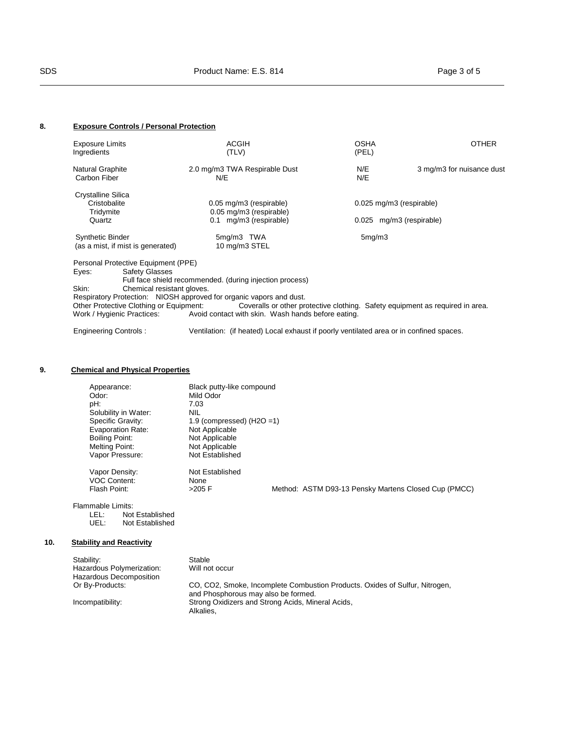# **8. Exposure Controls / Personal Protection**

| <b>Exposure Limits</b><br>Ingredients                                                                                                                   | <b>ACGIH</b><br>(TLV)                                                                                                                                                                                            | OSHA<br>(PEL)                                                                 | <b>OTHER</b>              |
|---------------------------------------------------------------------------------------------------------------------------------------------------------|------------------------------------------------------------------------------------------------------------------------------------------------------------------------------------------------------------------|-------------------------------------------------------------------------------|---------------------------|
| Natural Graphite<br>Carbon Fiber                                                                                                                        | 2.0 mg/m3 TWA Respirable Dust<br>N/E                                                                                                                                                                             | N/E<br>N/E                                                                    | 3 mg/m3 for nuisance dust |
| Crystalline Silica<br>Cristobalite<br>Tridymite<br>Quartz                                                                                               | 0.05 mg/m3 (respirable)<br>0.05 mg/m3 (respirable)<br>0.1 mg/m3 (respirable)                                                                                                                                     | 0.025 mg/m3 (respirable)<br>0.025 mg/m3 (respirable)                          |                           |
| <b>Synthetic Binder</b><br>(as a mist, if mist is generated)                                                                                            | 5mg/m3 TWA<br>10 mg/m3 STEL                                                                                                                                                                                      | 5mg/m3                                                                        |                           |
| Personal Protective Equipment (PPE)<br><b>Safety Glasses</b><br>Eyes:<br>Skin:<br>Chemical resistant gloves.<br>Other Protective Clothing or Equipment: | Full face shield recommended. (during injection process)<br>Respiratory Protection: NIOSH approved for organic vapors and dust.<br>Work / Hygienic Practices: Avoid contact with skin. Wash hands before eating. | Coveralls or other protective clothing. Safety equipment as required in area. |                           |

Engineering Controls : Ventilation: (if heated) Local exhaust if poorly ventilated area or in confined spaces.

# **9. Chemical and Physical Properties**

| Appearance:<br>Odor:<br>pH:<br>Solubility in Water:<br>Specific Gravity:<br><b>Evaporation Rate:</b><br>Boiling Point:<br>Melting Point:<br>Vapor Pressure: | Black putty-like compound<br>Mild Odor<br>7.03<br>NIL<br>1.9 (compressed) $(H2O = 1)$<br>Not Applicable<br>Not Applicable<br>Not Applicable<br>Not Established |  |                                                      |  |
|-------------------------------------------------------------------------------------------------------------------------------------------------------------|----------------------------------------------------------------------------------------------------------------------------------------------------------------|--|------------------------------------------------------|--|
| Vapor Density:<br><b>VOC Content:</b><br>Flash Point:                                                                                                       | Not Established<br>None<br>$>205$ F                                                                                                                            |  | Method: ASTM D93-13 Pensky Martens Closed Cup (PMCC) |  |

Flammable Limits: LEL: Not Established UEL: Not Established

# **10. Stability and Reactivity**

| Stability:                | Stable                                                                                                             |
|---------------------------|--------------------------------------------------------------------------------------------------------------------|
| Hazardous Polymerization: | Will not occur                                                                                                     |
| Hazardous Decomposition   |                                                                                                                    |
| Or By-Products:           | CO, CO2, Smoke, Incomplete Combustion Products. Oxides of Sulfur, Nitrogen,<br>and Phosphorous may also be formed. |
| Incompatibility:          | Strong Oxidizers and Strong Acids, Mineral Acids,<br>Alkalies.                                                     |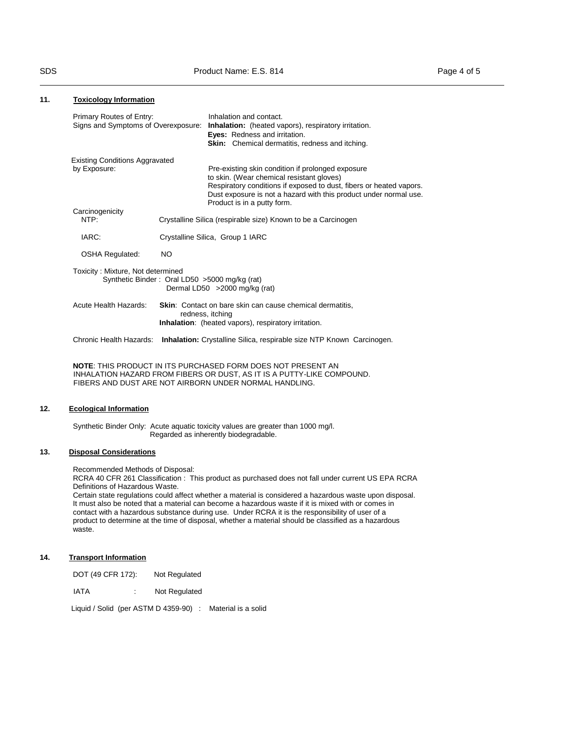## **11. Toxicology Information**

| Signs and Symptoms of Overexposure: Inhalation: (heated vapors), respiratory irritation.<br><b>Eyes:</b> Redness and irritation.<br>Skin: Chemical dermatitis, redness and itching.                                                        |                                                                                                                                                                                                                                                                                                                                                                                                           |
|--------------------------------------------------------------------------------------------------------------------------------------------------------------------------------------------------------------------------------------------|-----------------------------------------------------------------------------------------------------------------------------------------------------------------------------------------------------------------------------------------------------------------------------------------------------------------------------------------------------------------------------------------------------------|
| Pre-existing skin condition if prolonged exposure<br>to skin. (Wear chemical resistant gloves)<br>Respiratory conditions if exposed to dust, fibers or heated vapors.<br>Dust exposure is not a hazard with this product under normal use. |                                                                                                                                                                                                                                                                                                                                                                                                           |
|                                                                                                                                                                                                                                            |                                                                                                                                                                                                                                                                                                                                                                                                           |
|                                                                                                                                                                                                                                            |                                                                                                                                                                                                                                                                                                                                                                                                           |
|                                                                                                                                                                                                                                            |                                                                                                                                                                                                                                                                                                                                                                                                           |
| Dermal LD50 > 2000 mg/kg (rat)                                                                                                                                                                                                             |                                                                                                                                                                                                                                                                                                                                                                                                           |
| redness, itching                                                                                                                                                                                                                           |                                                                                                                                                                                                                                                                                                                                                                                                           |
| <b>Inhalation:</b> Crystalline Silica, respirable size NTP Known Carcinogen.                                                                                                                                                               |                                                                                                                                                                                                                                                                                                                                                                                                           |
| Chronic Health Hazards:                                                                                                                                                                                                                    | <b>Existing Conditions Aggravated</b><br>Product is in a putty form.<br>Crystalline Silica (respirable size) Known to be a Carcinogen<br>Crystalline Silica, Group 1 IARC<br>NO.<br>Toxicity: Mixture, Not determined<br>Synthetic Binder: Oral LD50 >5000 mg/kg (rat)<br><b>Skin:</b> Contact on bare skin can cause chemical dermatitis,<br><b>Inhalation:</b> (heated vapors), respiratory irritation. |

INHALATION HAZARD FROM FIBERS OR DUST, AS IT IS A PUTTY-LIKE COMPOUND. FIBERS AND DUST ARE NOT AIRBORN UNDER NORMAL HANDLING.

# **12. Ecological Information**

Synthetic Binder Only: Acute aquatic toxicity values are greater than 1000 mg/l. Regarded as inherently biodegradable.

# **13. Disposal Considerations**

Recommended Methods of Disposal:

RCRA 40 CFR 261 Classification : This product as purchased does not fall under current US EPA RCRA Definitions of Hazardous Waste.

Certain state regulations could affect whether a material is considered a hazardous waste upon disposal. It must also be noted that a material can become a hazardous waste if it is mixed with or comes in contact with a hazardous substance during use. Under RCRA it is the responsibility of user of a product to determine at the time of disposal, whether a material should be classified as a hazardous waste.

# **14. Transport Information**

DOT (49 CFR 172): Not Regulated

IATA : Not Regulated

Liquid / Solid (per ASTM D 4359-90) : Material is a solid